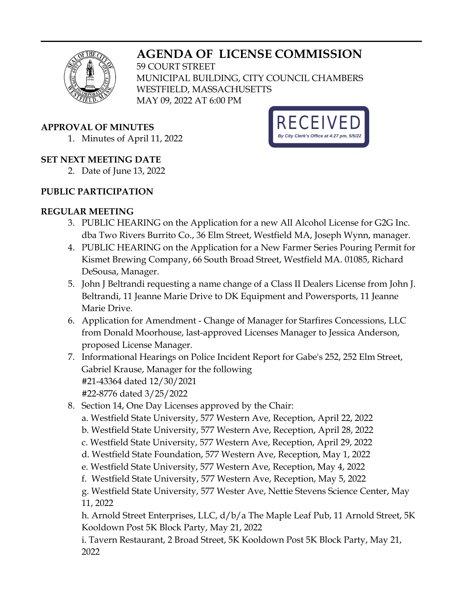# **AGENDA OF LICENSE COMMISSION**



59 COURT STREET MUNICIPAL BUILDING, CITY COUNCIL CHAMBERS WESTFIELD, MASSACHUSETTS MAY 09, 2022 AT 6:00 PM

#### **APPROVAL OF MINUTES**

1. Minutes of April 11, 2022

### **SET NEXT MEETING DATE**

2. Date of June 13, 2022

### **PUBLIC PARTICIPATION**

## **REGULAR MEETING**

- 3. PUBLIC HEARING on the Application for a new All Alcohol License for G2G Inc. dba Two Rivers Burrito Co., 36 Elm Street, Westfield MA, Joseph Wynn, manager.
- 4. PUBLIC HEARING on the Application for a New Farmer Series Pouring Permit for Kismet Brewing Company, 66 South Broad Street, Westfield MA. 01085, Richard DeSousa, Manager.
- 5. John J Beltrandi requesting a name change of a Class II Dealers License from John J. Beltrandi, 11 Jeanne Marie Drive to DK Equipment and Powersports, 11 Jeanne Marie Drive.
- 6. Application for Amendment Change of Manager for Starfires Concessions, LLC from Donald Moorhouse, last-approved Licenses Manager to Jessica Anderson, proposed License Manager.
- 7. Informational Hearings on Police Incident Report for Gabe's 252, 252 Elm Street, Gabriel Krause, Manager for the following #21-43364 dated 12/30/2021 #22-8776 dated 3/25/2022
- 8. Section 14, One Day Licenses approved by the Chair: a. Westfield State University, 577 Western Ave, Reception, April 22, 2022 b. Westfield State University, 577 Western Ave, Reception, April 28, 2022 c. Westfield State University, 577 Western Ave, Reception, April 29, 2022 d. Westfield State Foundation, 577 Western Ave, Reception, May 1, 2022 e. Westfield State University, 577 Western Ave, Reception, May 4, 2022 f. Westfield State University, 577 Western Ave, Reception, May 5, 2022
	- g. Westfield State University, 577 Wester Ave, Nettie Stevens Science Center, May 11, 2022

h. Arnold Street Enterprises, LLC, d/b/a The Maple Leaf Pub, 11 Arnold Street, 5K Kooldown Post 5K Block Party, May 21, 2022

i. Tavern Restaurant, 2 Broad Street, 5K Kooldown Post 5K Block Party, May 21, 2022